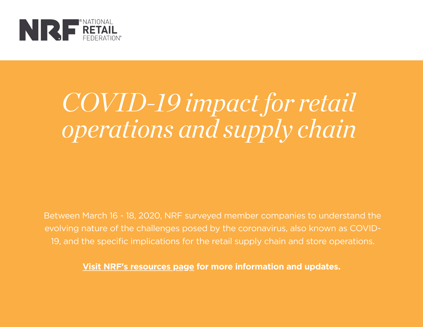

### COVID-19 impact forretail operations and supply chain

Between March 16 - 18, 2020, NRF surveyed member companies to understand the evolving nature of the challenges posed by the coronavirus, also known as COVID-19, and the specific implications for the retail supply chain and store operations.

**Visit NRF's [resources](https://nrf.com/resources/retail-safety-and-security-tools/coronavirus-resources-retailers) page for more information and updates.**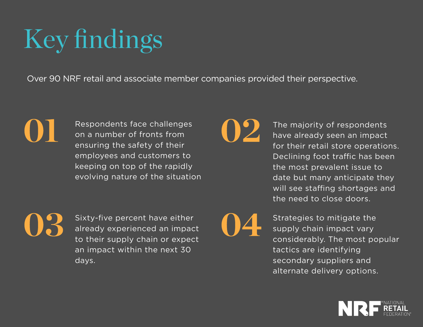### Key findings

Over 90 NRF retail and associate member companies provided their perspective.

01

Respondents face challenges on a number of fronts from ensuring the safety of their employees and customers to keeping on top of the rapidly evolving nature of the situation 02

The majority of respondents have already seen an impact for their retail store operations. Declining foot traffic has been the most prevalent issue to date but many anticipate they will see staffing shortages and the need to close doors.

03

Sixty-five percent have either already experienced an impact to their supply chain or expect an impact within the next 30 days.

04

Strategies to mitigate the supply chain impact vary considerably. The most popular tactics are identifying secondary suppliers and alternate delivery options.

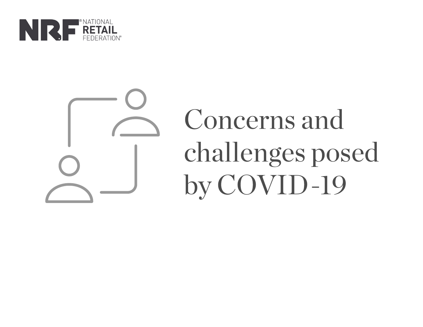

# Concerns and challenges posed by COVID-19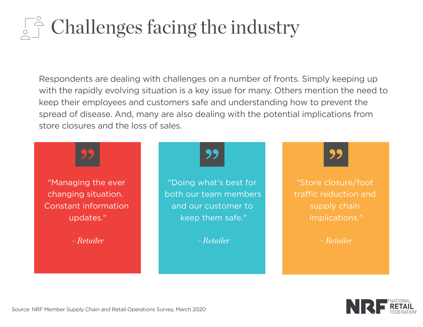### $\int_{\mathbb{R}}^{\infty}$  Challenges facing the industry

Respondents are dealing with challenges on a number of fronts. Simply keeping up with the rapidly evolving situation is a key issue for many. Others mention the need to keep their employees and customers safe and understanding how to prevent the spread of disease. And, many are also dealing with the potential implications from store closures and the loss of sales.



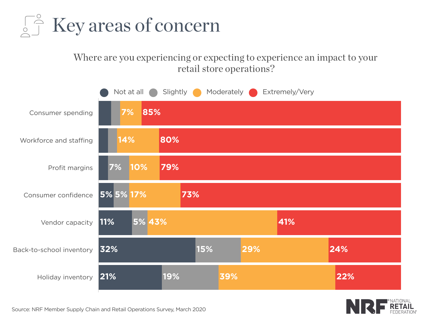

#### Where are you experiencing or expecting to experience an impact to your retail store operations?



![](_page_4_Picture_3.jpeg)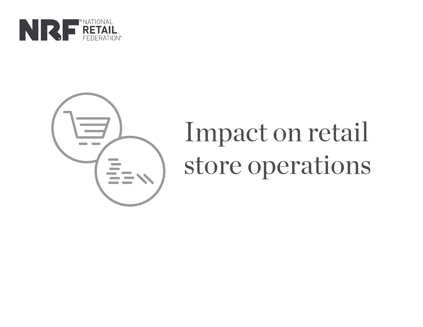![](_page_5_Picture_0.jpeg)

![](_page_5_Picture_1.jpeg)

## Impact on retail store operations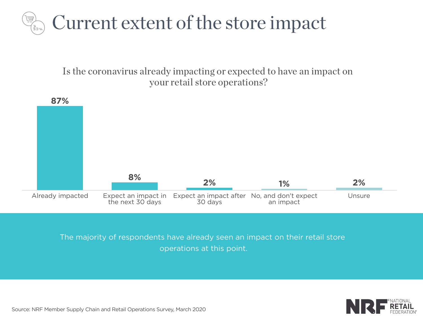![](_page_6_Picture_0.jpeg)

Is the coronavirus already impacting or expected to have an impact on your retail store operations?

![](_page_6_Figure_2.jpeg)

The majority of respondents have already seen an impact on their retail store operations at this point.

![](_page_6_Picture_4.jpeg)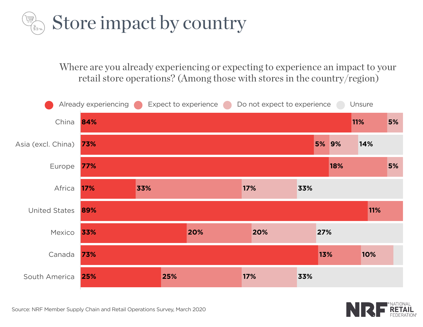![](_page_7_Picture_0.jpeg)

Where are you already experiencing or expecting to experience an impact to your retail store operations? (Among those with stores in the country/region)

![](_page_7_Figure_2.jpeg)

![](_page_7_Picture_3.jpeg)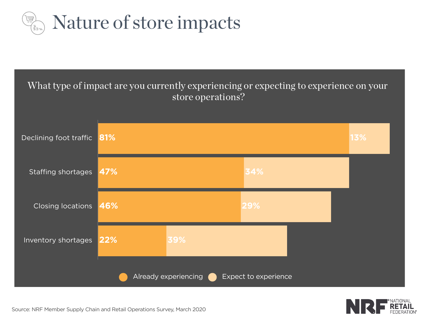![](_page_8_Picture_0.jpeg)

![](_page_8_Figure_1.jpeg)

![](_page_8_Picture_2.jpeg)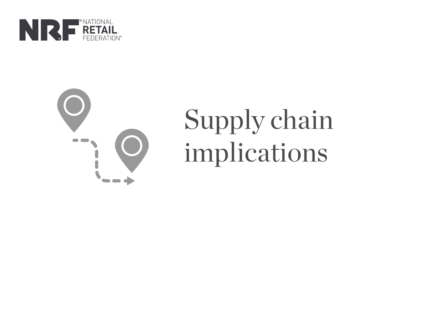![](_page_9_Picture_0.jpeg)

![](_page_9_Picture_1.jpeg)

# Supply chain implications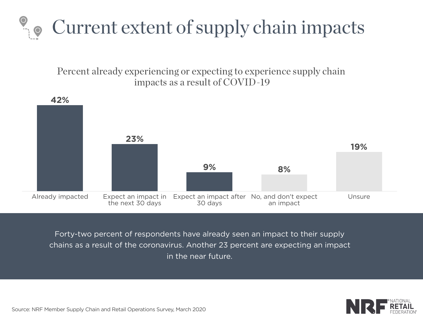![](_page_10_Picture_0.jpeg)

Percent already experiencing or expecting to experience supply chain impacts as a result of COVID-19

![](_page_10_Figure_2.jpeg)

Forty-two percent of respondents have already seen an impact to their supply chains as a result of the coronavirus. Another 23 percent are expecting an impact in the near future.

![](_page_10_Picture_4.jpeg)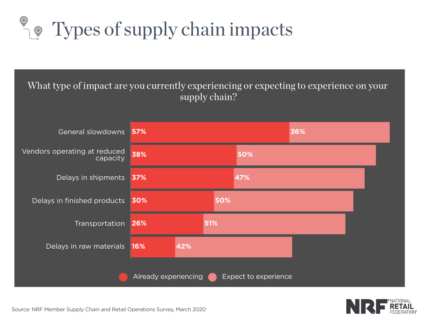### **O** Types of supply chain impacts

#### What type of impact are you currently experiencing or expecting to experience on your supply chain?

![](_page_11_Figure_2.jpeg)

![](_page_11_Picture_3.jpeg)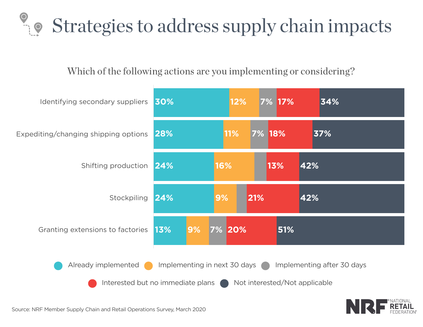### $\degree$  strategies to address supply chain impacts

#### Which of the following actions are you implementing or considering?

![](_page_12_Figure_2.jpeg)

![](_page_12_Picture_3.jpeg)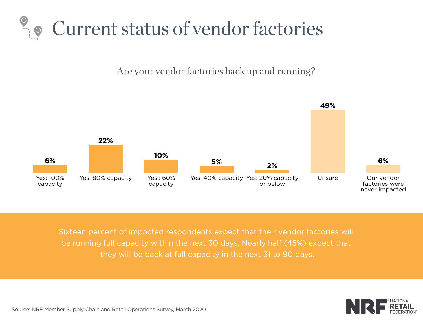#### Current status of vendor factories

Are your vendor factories back up and running?

![](_page_13_Figure_2.jpeg)

Sixteen percent of impacted respondents expect that their vendor factories will be running full capacity within the next 30 days. Nearly half (45%) expect that they will be back at full capacity in the next 31 to 90 days.

![](_page_13_Picture_4.jpeg)